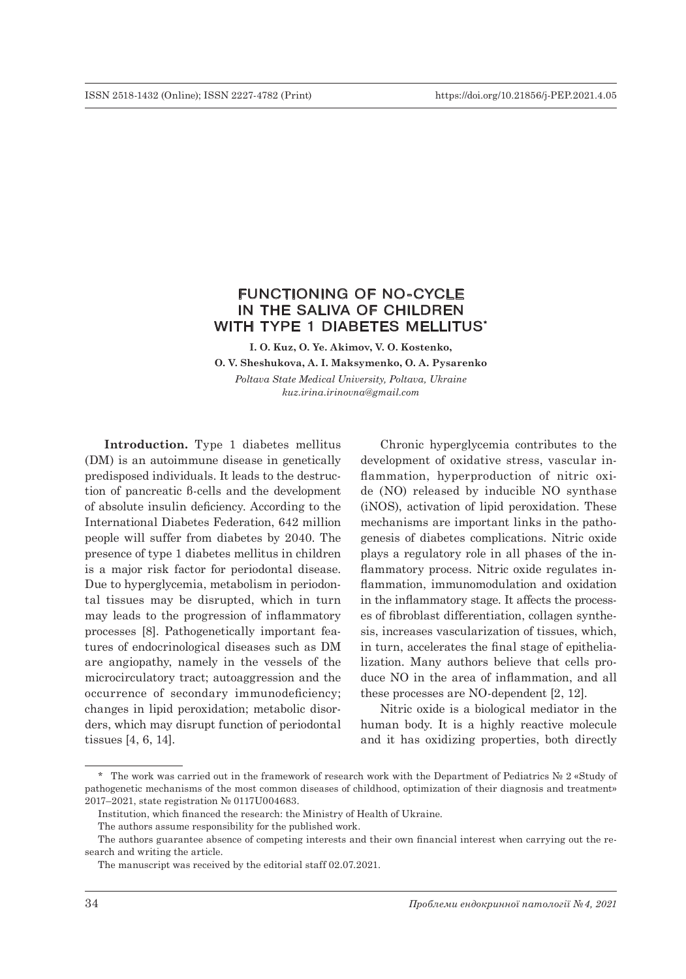# FUNCTIONING OF NO-CYCLE IN THE SALIVA OF CHILDREN WITH TYPE 1 DIABETES MELLITUS\*

**I. O. Kuz, O. Ye. Akimov, V. O. Kostenko, O. V. Sheshukova, A. I. Maksymenko, O. A. Pysarenko**  *Poltava State Medical University, Poltava, Ukraine kuz.irina.irinovna@gmail.com*

**Introduction.** Type 1 diabetes mellitus (DM) is an autoimmune disease in genetically predisposed individuals. It leads to the destruction of pancreatic β-cells and the development of absolute insulin deficiency. According to the International Diabetes Federation, 642 million people will suffer from diabetes by 2040. The presence of type 1 diabetes mellitus in children is a major risk factor for periodontal disease. Due to hyperglycemia, metabolism in periodontal tissues may be disrupted, which in turn may leads to the progression of inflammatory processes [8]. Pathogenetically important features of endocrinological diseases such as DM are angiopathy, namely in the vessels of the microcirculatory tract; autoaggression and the occurrence of secondary immunodeficiency; changes in lipid peroxidation; metabolic disorders, which may disrupt function of periodontal tissues [4, 6, 14].

Chronic hyperglycemia contributes to the development of oxidative stress, vascular inflammation, hyperproduction of nitric oxide (NO) released by inducible NO synthase (iNOS), activation of lipid peroxidation. These mechanisms are important links in the pathogenesis of diabetes complications. Nitric oxide plays a regulatory role in all phases of the inflammatory process. Nitric oxide regulates inflammation, immunomodulation and oxidation in the inflammatory stage. It affects the processes of fibroblast differentiation, collagen synthesis, increases vascularization of tissues, which, in turn, accelerates the final stage of epithelialization. Many authors believe that cells produce NO in the area of inflammation, and all these processes are NO-dependent [2, 12].

Nitric oxide is a biological mediator in the human body. It is a highly reactive molecule and it has oxidizing properties, both directly

<sup>\*</sup> The work was carried out in the framework of research work with the Department of Pediatrics № 2 «Study of pathogenetic mechanisms of the most common diseases of childhood, optimization of their diagnosis and treatment» 2017–2021, state registration № 0117U004683.

Institution, which financed the research: the Ministry of Health of Ukraine.

The authors assume responsibility for the published work.

The authors guarantee absence of competing interests and their own financial interest when carrying out the research and writing the article.

The manuscript was received by the editorial staff 02.07.2021.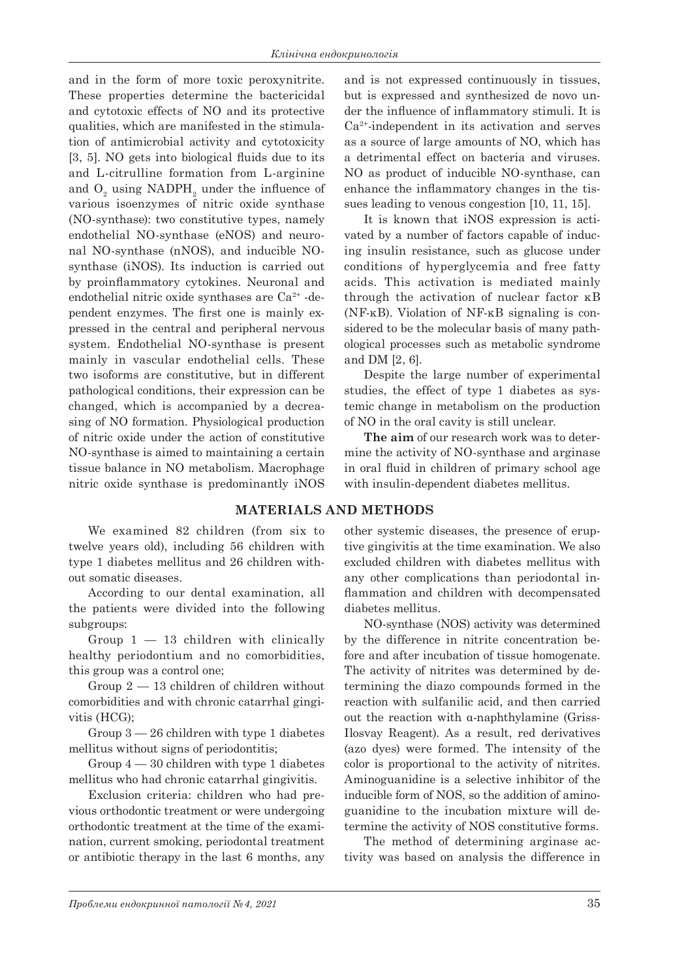and in the form of more toxic peroxynitrite. These properties determine the bactericidal and cytotoxic effects of NO and its protective qualities, which are manifested in the stimulation of antimicrobial activity and cytotoxicity [3, 5]. NO gets into biological fluids due to its and L-citrulline formation from L-arginine and  $O_2$  using NADPH<sub>2</sub> under the influence of various isoenzymes of nitric oxide synthase (NO-synthase): two constitutive types, namely endothelial NO-synthase (eNOS) and neuronal NO-synthase (nNOS), and inducible NOsynthase (iNOS). Its induction is carried out by proinflammatory cytokines. Neuronal and endothelial nitric oxide synthases are Ca<sup>2+</sup> -dependent enzymes. The first one is mainly expressed in the central and peripheral nervous system. Endothelial NO-synthase is present mainly in vascular endothelial cells. These two isoforms are constitutive, but in different pathological conditions, their expression can be changed, which is accompanied by a decreasing of NO formation. Physiological production of nitric oxide under the action of constitutive NO-synthase is aimed to maintaining a certain tissue balance in NO metabolism. Macrophage nitric oxide synthase is predominantly iNOS

and is not expressed continuously in tissues, but is expressed and synthesized de novo under the influence of inflammatory stimuli. It is Ca2+-independent in its activation and serves as a source of large amounts of NO, which has a detrimental effect on bacteria and viruses. NO as product of inducible NO-synthase, can enhance the inflammatory changes in the tissues leading to venous congestion [10, 11, 15].

It is known that iNOS expression is activated by a number of factors capable of inducing insulin resistance, such as glucose under conditions of hyperglycemia and free fatty acids. This activation is mediated mainly through the activation of nuclear factor κB (NF-κB). Violation of NF-κB signaling is considered to be the molecular basis of many pathological processes such as metabolic syndrome and DM [2, 6].

Despite the large number of experimental studies, the effect of type 1 diabetes as systemic change in metabolism on the production of NO in the oral cavity is still unclear.

**The aim** of our research work was to determine the activity of NO-synthase and arginase in oral fluid in children of primary school age with insulin-dependent diabetes mellitus.

## **MATERIALS AND METHODS**

We examined 82 children (from six to twelve years old), including 56 children with type 1 diabetes mellitus and 26 children without somatic diseases.

According to our dental examination, all the patients were divided into the following subgroups:

Group  $1 - 13$  children with clinically healthy periodontium and no comorbidities, this group was a control one;

Group 2 — 13 children of children without comorbidities and with chronic catarrhal gingivitis (HCG);

Group 3 — 26 children with type 1 diabetes mellitus without signs of periodontitis;

Group 4 — 30 children with type 1 diabetes mellitus who had chronic catarrhal gingivitis.

Exclusion criteria: children who had previous orthodontic treatment or were undergoing orthodontic treatment at the time of the examination, current smoking, periodontal treatment or antibiotic therapy in the last 6 months, any

other systemic diseases, the presence of eruptive gingivitis at the time examination. We also excluded children with diabetes mellitus with any other complications than periodontal inflammation and children with decompensated diabetes mellitus.

NO-synthase (NOS) activity was determined by the difference in nitrite concentration before and after incubation of tissue homogenate. The activity of nitrites was determined by determining the diazo compounds formed in the reaction with sulfanilic acid, and then carried out the reaction with α-naphthylamine (Griss-Ilosvay Reagent). As a result, red derivatives (azo dyes) were formed. The intensity of the color is proportional to the activity of nitrites. Aminoguanidine is a selective inhibitor of the inducible form of NOS, so the addition of aminoguanidine to the incubation mixture will determine the activity of NOS constitutive forms.

The method of determining arginase activity was based on analysis the difference in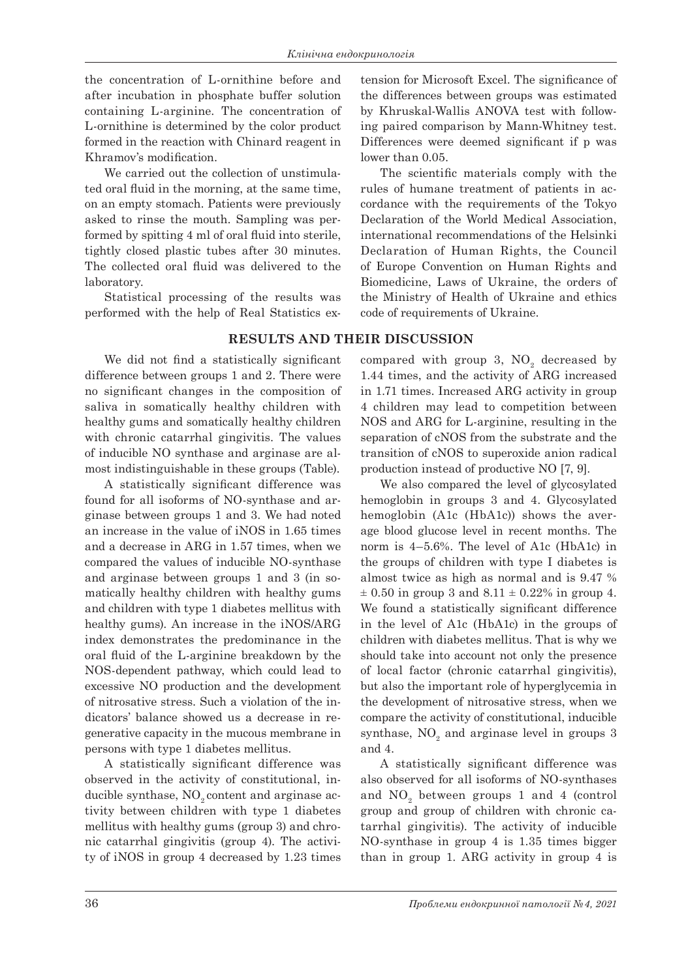the concentration of L-ornithine before and after incubation in phosphate buffer solution containing L-arginine. The concentration of L-ornithine is determined by the color product formed in the reaction with Chinard reagent in Khramov's modification.

We carried out the collection of unstimulated oral fluid in the morning, at the same time, on an empty stomach. Patients were previously asked to rinse the mouth. Sampling was performed by spitting 4 ml of oral fluid into sterile, tightly closed plastic tubes after 30 minutes. The collected oral fluid was delivered to the laboratory.

Statistical processing of the results was performed with the help of Real Statistics ex-

We did not find a statistically significant difference between groups 1 and 2. There were no significant changes in the composition of saliva in somatically healthy children with healthy gums and somatically healthy children with chronic catarrhal gingivitis. The values of inducible NO synthase and arginase are almost indistinguishable in these groups (Table).

A statistically significant difference was found for all isoforms of NO-synthase and arginase between groups 1 and 3. We had noted an increase in the value of iNOS in 1.65 times and a decrease in ARG in 1.57 times, when we compared the values of inducible NO-synthase and arginase between groups 1 and 3 (in somatically healthy children with healthy gums and children with type 1 diabetes mellitus with healthy gums). An increase in the iNOS/ARG index demonstrates the predominance in the oral fluid of the L-arginine breakdown by the NOS-dependent pathway, which could lead to excessive NO production and the development of nitrosative stress. Such a violation of the indicators' balance showed us a decrease in regenerative capacity in the mucous membrane in persons with type 1 diabetes mellitus.

A statistically significant difference was observed in the activity of constitutional, inducible synthase,  $NO<sub>2</sub>$  content and arginase activity between children with type 1 diabetes mellitus with healthy gums (group 3) and chronic catarrhal gingivitis (group 4). The activity of iNOS in group 4 decreased by 1.23 times

tension for Microsoft Excel. The significance of the differences between groups was estimated by Khruskal-Wallis ANOVA test with following paired comparison by Mann-Whitney test. Differences were deemed significant if p was lower than 0.05.

The scientific materials comply with the rules of humane treatment of patients in accordance with the requirements of the Tokyo Declaration of the World Medical Association, international recommendations of the Helsinki Declaration of Human Rights, the Council of Europe Convention on Human Rights and Biomedicine, Laws of Ukraine, the orders of the Ministry of Health of Ukraine and ethics code of requirements of Ukraine.

**RESULTS AND THEIR DISCUSSION**

compared with group 3,  $NO<sub>2</sub>$  decreased by 1.44 times, and the activity of ARG increased in 1.71 times. Increased ARG activity in group 4 children may lead to competition between NOS and ARG for L-arginine, resulting in the separation of cNOS from the substrate and the transition of cNOS to superoxide anion radical production instead of productive NO [7, 9].

We also compared the level of glycosylated hemoglobin in groups 3 and 4. Glycosylated hemoglobin (A1c (HbA1c)) shows the average blood glucose level in recent months. The norm is 4–5.6%. The level of A1c (HbA1c) in the groups of children with type I diabetes is almost twice as high as normal and is 9.47 %  $\pm$  0.50 in group 3 and 8.11  $\pm$  0.22% in group 4. We found a statistically significant difference in the level of A1c (HbA1c) in the groups of children with diabetes mellitus. That is why we should take into account not only the presence of local factor (chronic catarrhal gingivitis), but also the important role of hyperglycemia in the development of nitrosative stress, when we compare the activity of constitutional, inducible synthase,  $NO<sub>2</sub>$  and arginase level in groups 3 and 4.

A statistically significant difference was also observed for all isoforms of NO-synthases and  $NO<sub>2</sub>$  between groups 1 and 4 (control group and group of children with chronic catarrhal gingivitis). The activity of inducible NO-synthase in group 4 is 1.35 times bigger than in group 1. ARG activity in group 4 is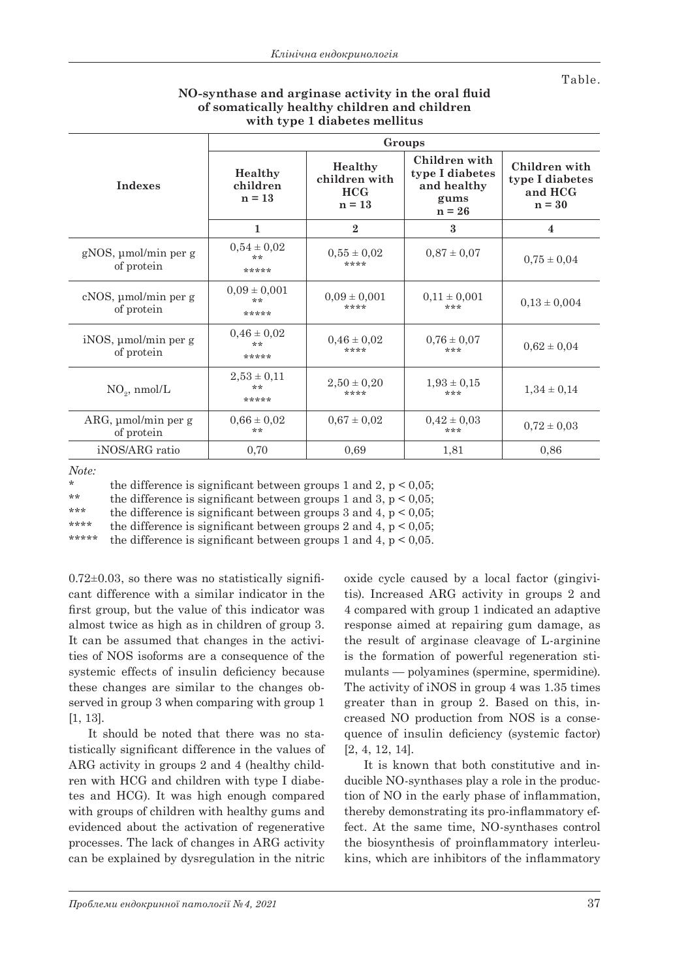Table.

|                                        | Groups                          |                                             |                                                                     |                                                         |
|----------------------------------------|---------------------------------|---------------------------------------------|---------------------------------------------------------------------|---------------------------------------------------------|
| <b>Indexes</b>                         | Healthy<br>children<br>$n = 13$ | Healthy<br>children with<br>HCG<br>$n = 13$ | Children with<br>type I diabetes<br>and healthy<br>gums<br>$n = 26$ | Children with<br>type I diabetes<br>and HCG<br>$n = 30$ |
|                                        | 1                               | $\mathbf{2}$                                | $\mathbf{a}$                                                        | 4                                                       |
| $gNOS$ , µmol/min per g<br>of protein  | $0.54 \pm 0.02$<br>**<br>*****  | $0,55 \pm 0,02$<br>****                     | $0.87 \pm 0.07$                                                     | $0.75 \pm 0.04$                                         |
| cNOS, µmol/min per g<br>of protein     | $0,09 \pm 0,001$<br>**<br>***** | $0.09 \pm 0.001$<br>****                    | $0,11 \pm 0,001$<br>***                                             | $0.13 \pm 0.004$                                        |
| $iNOS$ , µmol/min per g<br>of protein  | $0.46 \pm 0.02$<br>**<br>*****  | $0.46 \pm 0.02$<br>****                     | $0.76 \pm 0.07$<br>***                                              | $0.62 \pm 0.04$                                         |
| $NO2$ , nmol/L                         | $2,53 \pm 0,11$<br>**<br>*****  | $2,50 \pm 0,20$<br>****                     | $1.93 \pm 0.15$<br>***                                              | $1,34 \pm 0,14$                                         |
| $ARG, \mu$ mol/min per g<br>of protein | $0.66 \pm 0.02$<br>**           | $0.67 \pm 0.02$                             | $0.42 \pm 0.03$<br>***                                              | $0.72 \pm 0.03$                                         |
| iNOS/ARG ratio                         | 0,70                            | 0,69                                        | 1,81                                                                | 0,86                                                    |

## **NO-synthase and arginase activity in the oral fluid of somatically healthy children and children with type 1 diabetes mellitus**

*Note:* 

\* the difference is significant between groups 1 and 2,  $p < 0.05$ ;<br>\*\* the difference is significant between groups 1 and 2,  $p < 0.05$ ;

\*\* the difference is significant between groups 1 and 3,  $p < 0.05$ ;<br>\*\*\* the difference is significant between groups 2 and 4  $p < 0.05$ ;

\*\*\* the difference is significant between groups 3 and 4,  $p < 0.05$ ;<br>\*\*\*\* the difference is significant between groups 9 and 4,  $p < 0.05$ ;

\*\*\*\* the difference is significant between groups 2 and 4,  $p < 0.05$ ;<br>\*\*\*\*\* the difference is significant between groups 1 and 4,  $p < 0.05$ .

the difference is significant between groups 1 and 4,  $p < 0.05$ .

 $0.72\pm0.03$ , so there was no statistically significant difference with a similar indicator in the first group, but the value of this indicator was almost twice as high as in children of group 3. It can be assumed that changes in the activities of NOS isoforms are a consequence of the systemic effects of insulin deficiency because these changes are similar to the changes observed in group 3 when comparing with group 1 [1, 13].

It should be noted that there was no statistically significant difference in the values of ARG activity in groups 2 and 4 (healthy children with HCG and children with type I diabetes and HCG). It was high enough compared with groups of children with healthy gums and evidenced about the activation of regenerative processes. The lack of changes in ARG activity can be explained by dysregulation in the nitric

oxide cycle caused by a local factor (gingivitis). Increased ARG activity in groups 2 and 4 compared with group 1 indicated an adaptive response aimed at repairing gum damage, as the result of arginase cleavage of L-arginine is the formation of powerful regeneration stimulants — polyamines (spermine, spermidine). The activity of iNOS in group 4 was 1.35 times greater than in group 2. Based on this, increased NO production from NOS is a consequence of insulin deficiency (systemic factor) [2, 4, 12, 14].

It is known that both constitutive and inducible NO-synthases play a role in the production of NO in the early phase of inflammation, thereby demonstrating its pro-inflammatory effect. At the same time, NO-synthases control the biosynthesis of proinflammatory interleukins, which are inhibitors of the inflammatory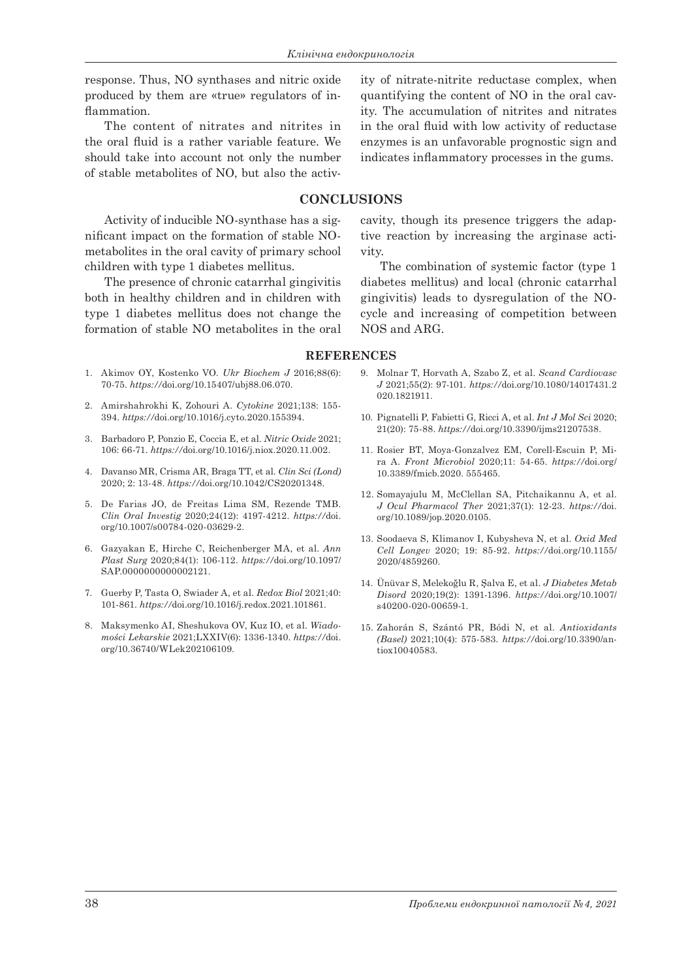response. Thus, NO synthases and nitric oxide produced by them are «true» regulators of inflammation.

The content of nitrates and nitrites in the oral fluid is a rather variable feature. We should take into account not only the number of stable metabolites of NO, but also the activ-

Activity of inducible NO-synthase has a significant impact on the formation of stable NOmetabolites in the oral cavity of primary school children with type 1 diabetes mellitus.

The presence of chronic catarrhal gingivitis both in healthy children and in children with type 1 diabetes mellitus does not change the formation of stable NO metabolites in the oral

ity of nitrate-nitrite reductase complex, when quantifying the content of NO in the oral cavity. The accumulation of nitrites and nitrates in the oral fluid with low activity of reductase enzymes is an unfavorable prognostic sign and indicates inflammatory processes in the gums.

## **CONCLUSIONS**

cavity, though its presence triggers the adaptive reaction by increasing the arginase activity.

The combination of systemic factor (type 1 diabetes mellitus) and local (chronic catarrhal gingivitis) leads to dysregulation of the NOcycle and increasing of competition between NOS and ARG.

### **REFERENCES**

- 1. Akimov OY, Kostenko VO. *Ukr Biochem J* 2016;88(6): 70-75. *https://*doi.org/10.15407/ubj88.06.070.
- 2. Amirshahrokhi K, Zohouri A. *Cytokine* 2021;138: 155- 394. *https://*doi.org/10.1016/j.cyto.2020.155394.
- 3. Barbadoro P, Ponzio E, Coccia E, et al. *Nitric Oxide* 2021; 106: 66-71. *https://*doi.org/10.1016/j.niox.2020.11.002.
- 4. Davanso MR, Crisma AR, Braga TT, et al. *Clin Sci (Lond)* 2020; 2: 13-48. *https://*doi.org/10.1042/CS20201348.
- 5. De Farias JO, de Freitas Lima SM, Rezende TMB. *Clin Oral Investig* 2020;24(12): 4197-4212. *https://*doi. org/10.1007/s00784-020-03629-2.
- 6. Gazyakan E, Hirche C, Reichenberger MA, et al. *Ann Plast Surg* 2020;84(1): 106-112. *https://*doi.org/10.1097/ SAP.0000000000002121.
- 7. Guerby P, Tasta O, Swiader A, et al. *Redox Biol* 2021;40: 101-861. *https://*doi.org/10.1016/j.redox.2021.101861.
- 8. Maksymenko AI, Sheshukova OV, Kuz IO, et al. *Wiadomości Lekarskie* 2021;LXXIV(6): 1336-1340. *https://*doi. org/10.36740/WLek202106109.
- 9. Molnar T, Horvath A, Szabo Z, et al. *Scand Cardiovasc J* 2021;55(2): 97-101. *https://*doi.org/10.1080/14017431.2 020.1821911.
- 10. Pignatelli P, Fabietti G, Ricci A, et al. *Int J Mol Sci* 2020; 21(20): 75-88. *https://*doi.org/10.3390/ijms21207538.
- 11. Rosier BT, Moya-Gonzalvez EM, Corell-Escuin P, Mira A. *Front Microbiol* 2020;11: 54-65. *https://*doi.org/ 10.3389/fmicb.2020. 555465.
- 12. Somayajulu M, McClellan SA, Pitchaikannu A, et al. *J Ocul Pharmacol Ther* 2021;37(1): 12-23. *https://*doi. org/10.1089/jop.2020.0105.
- 13. Soodaeva S, Klimanov I, Kubysheva N, et al. *Oxid Med Cell Longev* 2020; 19: 85-92. *https://*doi.org/10.1155/ 2020/4859260.
- 14. Ünüvar S, Melekoğlu R, Şalva E, et al. *J Diabetes Metab Disord* 2020;19(2): 1391-1396. *https://*doi.org/10.1007/ s40200-020-00659-1.
- 15. Zahorán S, Szántó PR, Bódi N, et al. *Antioxidants (Basel)* 2021;10(4): 575-583. *https://*doi.org/10.3390/antiox10040583.